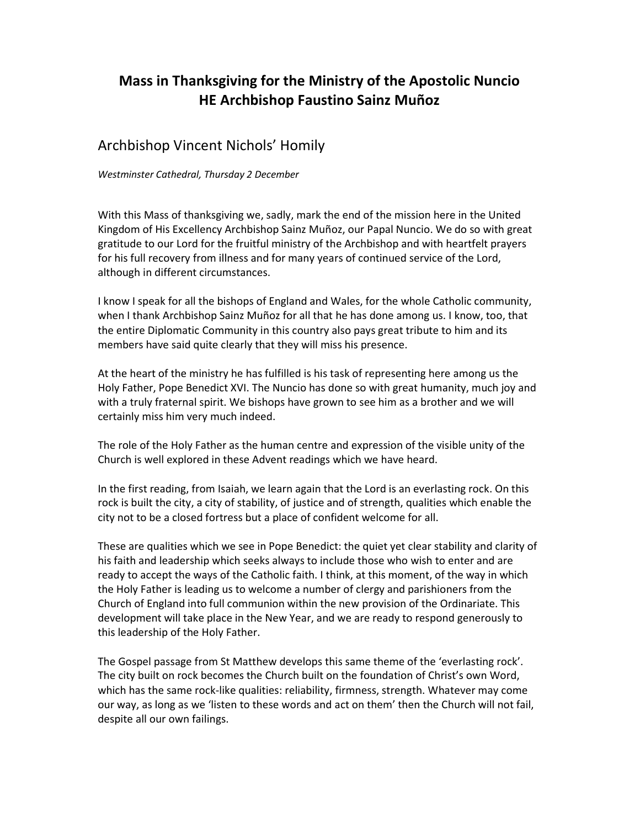## **Mass in Thanksgiving for the Ministry of the Apostolic Nuncio HE Archbishop Faustino Sainz Muñoz**

## Archbishop Vincent Nichols' Homily

*Westminster Cathedral, Thursday 2 December* 

With this Mass of thanksgiving we, sadly, mark the end of the mission here in the United Kingdom of His Excellency Archbishop Sainz Muñoz, our Papal Nuncio. We do so with great gratitude to our Lord for the fruitful ministry of the Archbishop and with heartfelt prayers for his full recovery from illness and for many years of continued service of the Lord, although in different circumstances.

I know I speak for all the bishops of England and Wales, for the whole Catholic community, when I thank Archbishop Sainz Muñoz for all that he has done among us. I know, too, that the entire Diplomatic Community in this country also pays great tribute to him and its members have said quite clearly that they will miss his presence.

At the heart of the ministry he has fulfilled is his task of representing here among us the Holy Father, Pope Benedict XVI. The Nuncio has done so with great humanity, much joy and with a truly fraternal spirit. We bishops have grown to see him as a brother and we will certainly miss him very much indeed.

The role of the Holy Father as the human centre and expression of the visible unity of the Church is well explored in these Advent readings which we have heard.

In the first reading, from Isaiah, we learn again that the Lord is an everlasting rock. On this rock is built the city, a city of stability, of justice and of strength, qualities which enable the city not to be a closed fortress but a place of confident welcome for all.

These are qualities which we see in Pope Benedict: the quiet yet clear stability and clarity of his faith and leadership which seeks always to include those who wish to enter and are ready to accept the ways of the Catholic faith. I think, at this moment, of the way in which the Holy Father is leading us to welcome a number of clergy and parishioners from the Church of England into full communion within the new provision of the Ordinariate. This development will take place in the New Year, and we are ready to respond generously to this leadership of the Holy Father.

The Gospel passage from St Matthew develops this same theme of the 'everlasting rock'. The city built on rock becomes the Church built on the foundation of Christ's own Word, which has the same rock-like qualities: reliability, firmness, strength. Whatever may come our way, as long as we 'listen to these words and act on them' then the Church will not fail, despite all our own failings.